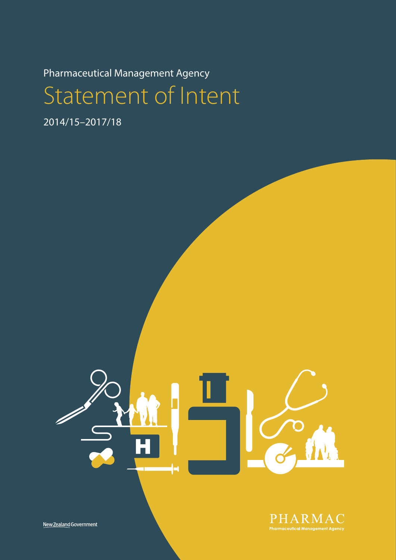Pharmaceutical Management Agency

Statement of Intent

2014/15–2017/18



New Zealand Government

PHARMAC **Pharmaceutical Management Agency**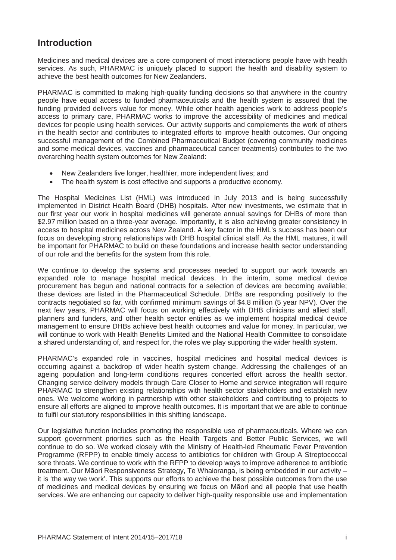# <span id="page-1-0"></span>**Introduction**

Medicines and medical devices are a core component of most interactions people have with health services. As such, PHARMAC is uniquely placed to support the health and disability system to achieve the best health outcomes for New Zealanders.

PHARMAC is committed to making high-quality funding decisions so that anywhere in the country people have equal access to funded pharmaceuticals and the health system is assured that the funding provided delivers value for money. While other health agencies work to address people's access to primary care, PHARMAC works to improve the accessibility of medicines and medical devices for people using health services. Our activity supports and complements the work of others in the health sector and contributes to integrated efforts to improve health outcomes. Our ongoing successful management of the Combined Pharmaceutical Budget (covering community medicines and some medical devices, vaccines and pharmaceutical cancer treatments) contributes to the two overarching health system outcomes for New Zealand:

- New Zealanders live longer, healthier, more independent lives; and
- The health system is cost effective and supports a productive economy.

The Hospital Medicines List (HML) was introduced in July 2013 and is being successfully implemented in District Health Board (DHB) hospitals. After new investments, we estimate that in our first year our work in hospital medicines will generate annual savings for DHBs of more than \$2.97 million based on a three-year average. Importantly, it is also achieving greater consistency in access to hospital medicines across New Zealand. A key factor in the HML's success has been our focus on developing strong relationships with DHB hospital clinical staff. As the HML matures, it will be important for PHARMAC to build on these foundations and increase health sector understanding of our role and the benefits for the system from this role.

We continue to develop the systems and processes needed to support our work towards an expanded role to manage hospital medical devices. In the interim, some medical device procurement has begun and national contracts for a selection of devices are becoming available; these devices are listed in the Pharmaceutical Schedule. DHBs are responding positively to the contracts negotiated so far, with confirmed minimum savings of \$4.8 million (5 year NPV). Over the next few years, PHARMAC will focus on working effectively with DHB clinicians and allied staff, planners and funders, and other health sector entities as we implement hospital medical device management to ensure DHBs achieve best health outcomes and value for money. In particular, we will continue to work with Health Benefits Limited and the National Health Committee to consolidate a shared understanding of, and respect for, the roles we play supporting the wider health system.

PHARMAC's expanded role in vaccines, hospital medicines and hospital medical devices is occurring against a backdrop of wider health system change. Addressing the challenges of an ageing population and long-term conditions requires concerted effort across the health sector. Changing service delivery models through Care Closer to Home and service integration will require PHARMAC to strengthen existing relationships with health sector stakeholders and establish new ones. We welcome working in partnership with other stakeholders and contributing to projects to ensure all efforts are aligned to improve health outcomes. It is important that we are able to continue to fulfil our statutory responsibilities in this shifting landscape.

<span id="page-1-1"></span>Our legislative function includes promoting the responsible use of pharmaceuticals. Where we can support government priorities such as the Health Targets and Better Public Services, we will continue to do so. We worked closely with the Ministry of Health-led Rheumatic Fever Prevention Programme (RFPP) to enable timely access to antibiotics for children with Group A Streptococcal sore throats. We continue to work with the RFPP to develop ways to improve adherence to antibiotic treatment. Our Māori Responsiveness Strategy, Te Whaioranga, is being embedded in our activity – it is 'the way we work'. This supports our efforts to achieve the best possible outcomes from the use of medicines and medical devices by ensuring we focus on Māori and all people that use health services. We are enhancing our capacity to deliver high-quality responsible use and implementation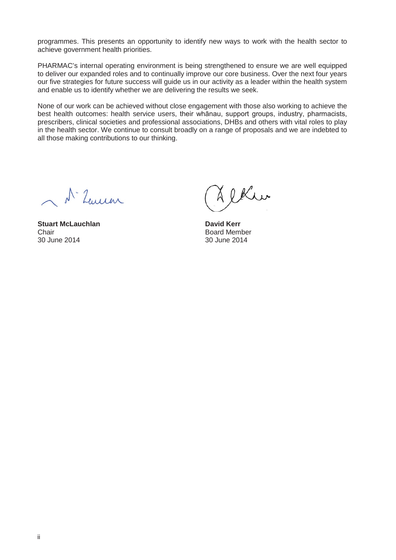programmes. This presents an opportunity to identify new ways to work with the health sector to achieve government health priorities.

PHARMAC's internal operating environment is being strengthened to ensure we are well equipped to deliver our expanded roles and to continually improve our core business. Over the next four years our five strategies for future success will guide us in our activity as a leader within the health system and enable us to identify whether we are delivering the results we seek.

None of our work can be achieved without close engagement with those also working to achieve the best health outcomes: health service users, their whānau, support groups, industry, pharmacists, prescribers, clinical societies and professional associations, DHBs and others with vital roles to play in the health sector. We continue to consult broadly on a range of proposals and we are indebted to all those making contributions to our thinking.

1. Leuren

**Stuart McLauchlan**<br> **Chair**<br> **David Kerr**<br> **David Kerr**<br> **David Kerr** Chair Board Member

& ekher

30 June 2014 30 June 2014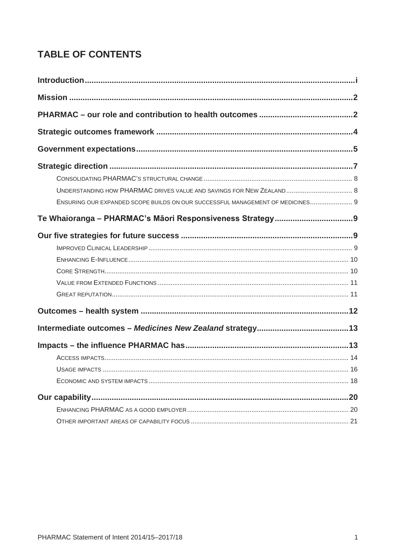# **TABLE OF CONTENTS**

| UNDERSTANDING HOW PHARMAC DRIVES VALUE AND SAVINGS FOR NEW ZEALAND 8           |  |
|--------------------------------------------------------------------------------|--|
| ENSURING OUR EXPANDED SCOPE BUILDS ON OUR SUCCESSFUL MANAGEMENT OF MEDICINES 9 |  |
|                                                                                |  |
|                                                                                |  |
|                                                                                |  |
|                                                                                |  |
|                                                                                |  |
|                                                                                |  |
|                                                                                |  |
|                                                                                |  |
|                                                                                |  |
|                                                                                |  |
|                                                                                |  |
|                                                                                |  |
|                                                                                |  |
|                                                                                |  |
|                                                                                |  |
|                                                                                |  |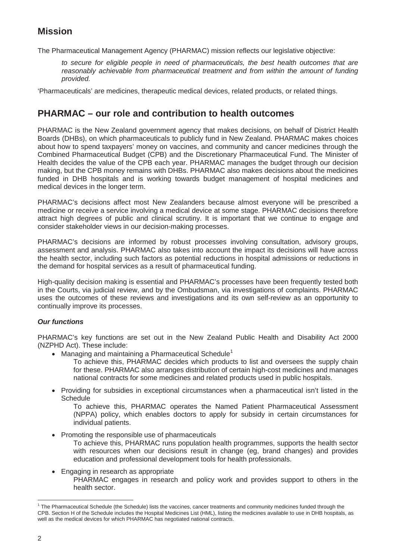# <span id="page-4-0"></span>**Mission**

The Pharmaceutical Management Agency (PHARMAC) mission reflects our legislative objective:

*to secure for eligible people in need of pharmaceuticals, the best health outcomes that are reasonably achievable from pharmaceutical treatment and from within the amount of funding provided.*

'Pharmaceuticals' are medicines, therapeutic medical devices, related products, or related things.

# <span id="page-4-1"></span>**PHARMAC – our role and contribution to health outcomes**

PHARMAC is the New Zealand government agency that makes decisions, on behalf of District Health Boards (DHBs), on which pharmaceuticals to publicly fund in New Zealand. PHARMAC makes choices about how to spend taxpayers' money on vaccines, and community and cancer medicines through the Combined Pharmaceutical Budget (CPB) and the Discretionary Pharmaceutical Fund. The Minister of Health decides the value of the CPB each year. PHARMAC manages the budget through our decision making, but the CPB money remains with DHBs. PHARMAC also makes decisions about the medicines funded in DHB hospitals and is working towards budget management of hospital medicines and medical devices in the longer term.

PHARMAC's decisions affect most New Zealanders because almost everyone will be prescribed a medicine or receive a service involving a medical device at some stage. PHARMAC decisions therefore attract high degrees of public and clinical scrutiny. It is important that we continue to engage and consider stakeholder views in our decision-making processes.

PHARMAC's decisions are informed by robust processes involving consultation, advisory groups, assessment and analysis. PHARMAC also takes into account the impact its decisions will have across the health sector, including such factors as potential reductions in hospital admissions or reductions in the demand for hospital services as a result of pharmaceutical funding.

High-quality decision making is essential and PHARMAC's processes have been frequently tested both in the Courts, via judicial review, and by the Ombudsman, via investigations of complaints. PHARMAC uses the outcomes of these reviews and investigations and its own self-review as an opportunity to continually improve its processes.

#### *Our functions*

PHARMAC's key functions are set out in the New Zealand Public Health and Disability Act 2000 (NZPHD Act). These include:

• Managing and maintaining a Pharmaceutical Schedule<sup>[1](#page-1-1)</sup>

To achieve this, PHARMAC decides which products to list and oversees the supply chain for these. PHARMAC also arranges distribution of certain high-cost medicines and manages national contracts for some medicines and related products used in public hospitals.

• Providing for subsidies in exceptional circumstances when a pharmaceutical isn't listed in the **Schedule** 

To achieve this, PHARMAC operates the Named Patient Pharmaceutical Assessment (NPPA) policy, which enables doctors to apply for subsidy in certain circumstances for individual patients.

• Promoting the responsible use of pharmaceuticals

To achieve this, PHARMAC runs population health programmes, supports the health sector with resources when our decisions result in change (eg, brand changes) and provides education and professional development tools for health professionals.

• Engaging in research as appropriate PHARMAC engages in research and policy work and provides support to others in the health sector.

<span id="page-4-2"></span> $\overline{a}$ <sup>1</sup> The Pharmaceutical Schedule (the Schedule) lists the vaccines, cancer treatments and community medicines funded through the CPB. Section H of the Schedule includes the Hospital Medicines List (HML), listing the medicines available to use in DHB hospitals, as well as the medical devices for which PHARMAC has negotiated national contracts.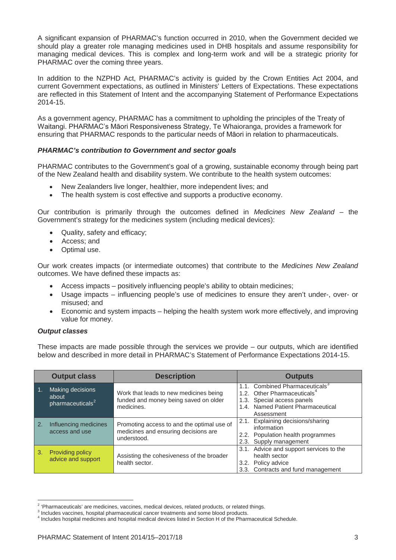A significant expansion of PHARMAC's function occurred in 2010, when the Government decided we should play a greater role managing medicines used in DHB hospitals and assume responsibility for managing medical devices. This is complex and long-term work and will be a strategic priority for PHARMAC over the coming three years.

In addition to the NZPHD Act, PHARMAC's activity is guided by the Crown Entities Act 2004, and current Government expectations, as outlined in Ministers' Letters of Expectations. These expectations are reflected in this Statement of Intent and the accompanying Statement of Performance Expectations 2014-15.

As a government agency, PHARMAC has a commitment to upholding the principles of the Treaty of Waitangi. PHARMAC's Māori Responsiveness Strategy, Te Whaioranga, provides a framework for ensuring that PHARMAC responds to the particular needs of Māori in relation to pharmaceuticals.

#### *PHARMAC's contribution to Government and sector goals*

PHARMAC contributes to the Government's goal of a growing, sustainable economy through being part of the New Zealand health and disability system. We contribute to the health system outcomes:

- New Zealanders live longer, healthier, more independent lives; and
- The health system is cost effective and supports a productive economy.

Our contribution is primarily through the outcomes defined in *Medicines New Zealand* – the Government's strategy for the medicines system (including medical devices):

- Quality, safety and efficacy;
- Access: and
- Optimal use.

Our work creates impacts (or intermediate outcomes) that contribute to the *Medicines New Zealand* outcomes. We have defined these impacts as:

- Access impacts positively influencing people's ability to obtain medicines;
- Usage impacts influencing people's use of medicines to ensure they aren't under-, over- or misused; and
- Economic and system impacts helping the health system work more effectively, and improving value for money.

#### *Output classes*

These impacts are made possible through the services we provide – our outputs, which are identified below and described in more detail in PHARMAC's Statement of Performance Expectations 2014-15.

|    | <b>Output class</b>                                              | <b>Description</b>                                                                                | <b>Outputs</b>                                                                                                                                                         |
|----|------------------------------------------------------------------|---------------------------------------------------------------------------------------------------|------------------------------------------------------------------------------------------------------------------------------------------------------------------------|
|    | <b>Making decisions</b><br>about<br>pharmaceuticals <sup>2</sup> | Work that leads to new medicines being<br>funded and money being saved on older<br>medicines.     | 1.1. Combined Pharmaceuticals <sup>3</sup><br>1.2. Other Pharmaceuticals <sup>4</sup><br>1.3. Special access panels<br>1.4. Named Patient Pharmaceutical<br>Assessment |
| 2. | Influencing medicines<br>access and use                          | Promoting access to and the optimal use of<br>medicines and ensuring decisions are<br>understood. | 2.1. Explaining decisions/sharing<br>information<br>2.2. Population health programmes<br>2.3. Supply management                                                        |
| 3. | <b>Providing policy</b><br>advice and support                    | Assisting the cohesiveness of the broader<br>health sector.                                       | 3.1. Advice and support services to the<br>health sector<br>3.2. Policy advice<br>3.3. Contracts and fund management                                                   |

 $\overline{a}$  $2$  'Pharmaceuticals' are medicines, vaccines, medical devices, related products, or related things.

<span id="page-5-0"></span><sup>3</sup> Includes vaccines, hospital pharmaceutical cancer treatments and some blood products.

<span id="page-5-1"></span><sup>4</sup> Includes hospital medicines and hospital medical devices listed in Section H of the Pharmaceutical Schedule.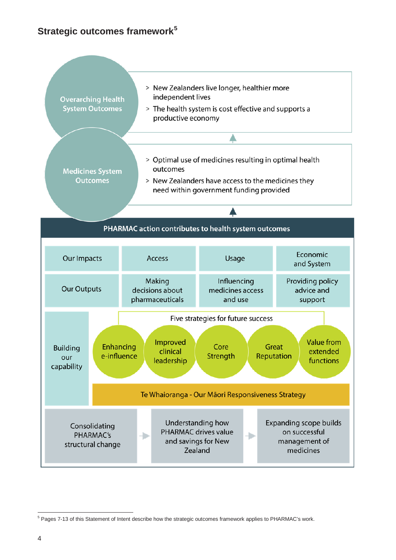# <span id="page-6-0"></span>**Strategic outcomes framework[5](#page-5-1)**



<span id="page-6-1"></span> $\overline{a}$ <sup>5</sup> Pages 7-13 of this Statement of Intent describe how the strategic outcomes framework applies to PHARMAC's work.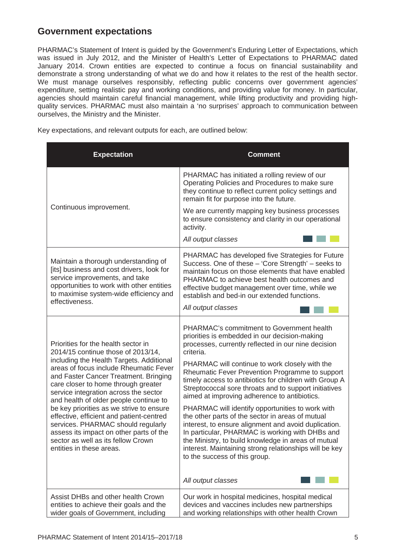# <span id="page-7-0"></span>**Government expectations**

PHARMAC's Statement of Intent is guided by the Government's Enduring Letter of Expectations, which was issued in July 2012, and the Minister of Health's Letter of Expectations to PHARMAC dated January 2014. Crown entities are expected to continue a focus on financial sustainability and demonstrate a strong understanding of what we do and how it relates to the rest of the health sector. We must manage ourselves responsibly, reflecting public concerns over government agencies' expenditure, setting realistic pay and working conditions, and providing value for money. In particular, agencies should maintain careful financial management, while lifting productivity and providing highquality services. PHARMAC must also maintain a 'no surprises' approach to communication between ourselves, the Ministry and the Minister.

Key expectations, and relevant outputs for each, are outlined below:

| <b>Expectation</b>                                                                                                                                                                                                                                                                                                                                                                                                                                                                                                                                                            | <b>Comment</b>                                                                                                                                                                                                                                                                                                                                                                                                                                                                                                                                                                                                                                                                                                                                                                                                                    |
|-------------------------------------------------------------------------------------------------------------------------------------------------------------------------------------------------------------------------------------------------------------------------------------------------------------------------------------------------------------------------------------------------------------------------------------------------------------------------------------------------------------------------------------------------------------------------------|-----------------------------------------------------------------------------------------------------------------------------------------------------------------------------------------------------------------------------------------------------------------------------------------------------------------------------------------------------------------------------------------------------------------------------------------------------------------------------------------------------------------------------------------------------------------------------------------------------------------------------------------------------------------------------------------------------------------------------------------------------------------------------------------------------------------------------------|
|                                                                                                                                                                                                                                                                                                                                                                                                                                                                                                                                                                               | PHARMAC has initiated a rolling review of our<br>Operating Policies and Procedures to make sure<br>they continue to reflect current policy settings and<br>remain fit for purpose into the future.                                                                                                                                                                                                                                                                                                                                                                                                                                                                                                                                                                                                                                |
| Continuous improvement.                                                                                                                                                                                                                                                                                                                                                                                                                                                                                                                                                       | We are currently mapping key business processes<br>to ensure consistency and clarity in our operational<br>activity.                                                                                                                                                                                                                                                                                                                                                                                                                                                                                                                                                                                                                                                                                                              |
|                                                                                                                                                                                                                                                                                                                                                                                                                                                                                                                                                                               | All output classes                                                                                                                                                                                                                                                                                                                                                                                                                                                                                                                                                                                                                                                                                                                                                                                                                |
| Maintain a thorough understanding of<br>[its] business and cost drivers, look for<br>service improvements, and take<br>opportunities to work with other entities<br>to maximise system-wide efficiency and<br>effectiveness.                                                                                                                                                                                                                                                                                                                                                  | PHARMAC has developed five Strategies for Future<br>Success. One of these - 'Core Strength' - seeks to<br>maintain focus on those elements that have enabled<br>PHARMAC to achieve best health outcomes and<br>effective budget management over time, while we<br>establish and bed-in our extended functions.<br>All output classes                                                                                                                                                                                                                                                                                                                                                                                                                                                                                              |
| Priorities for the health sector in<br>2014/15 continue those of 2013/14,<br>including the Health Targets. Additional<br>areas of focus include Rheumatic Fever<br>and Faster Cancer Treatment. Bringing<br>care closer to home through greater<br>service integration across the sector<br>and health of older people continue to<br>be key priorities as we strive to ensure<br>effective, efficient and patient-centred<br>services. PHARMAC should regularly<br>assess its impact on other parts of the<br>sector as well as its fellow Crown<br>entities in these areas. | PHARMAC's commitment to Government health<br>priorities is embedded in our decision-making<br>processes, currently reflected in our nine decision<br>criteria.<br>PHARMAC will continue to work closely with the<br>Rheumatic Fever Prevention Programme to support<br>timely access to antibiotics for children with Group A<br>Streptococcal sore throats and to support initiatives<br>aimed at improving adherence to antibiotics.<br>PHARMAC will identify opportunities to work with<br>the other parts of the sector in areas of mutual<br>interest, to ensure alignment and avoid duplication.<br>In particular, PHARMAC is working with DHBs and<br>the Ministry, to build knowledge in areas of mutual<br>interest. Maintaining strong relationships will be key<br>to the success of this group.<br>All output classes |
| Assist DHBs and other health Crown                                                                                                                                                                                                                                                                                                                                                                                                                                                                                                                                            | Our work in hospital medicines, hospital medical                                                                                                                                                                                                                                                                                                                                                                                                                                                                                                                                                                                                                                                                                                                                                                                  |
| entities to achieve their goals and the<br>wider goals of Government, including                                                                                                                                                                                                                                                                                                                                                                                                                                                                                               | devices and vaccines includes new partnerships<br>and working relationships with other health Crown                                                                                                                                                                                                                                                                                                                                                                                                                                                                                                                                                                                                                                                                                                                               |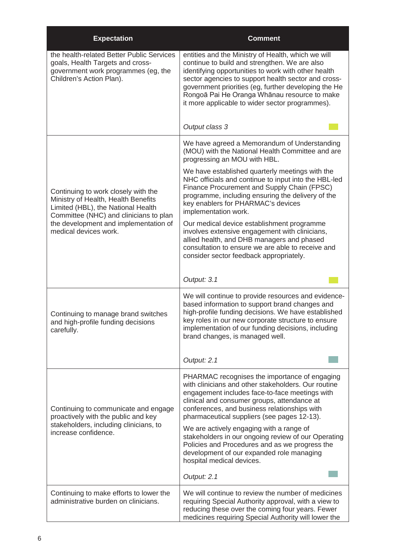| <b>Expectation</b>                                                                                                                                         | <b>Comment</b>                                                                                                                                                                                                                                                                                                                                                               |
|------------------------------------------------------------------------------------------------------------------------------------------------------------|------------------------------------------------------------------------------------------------------------------------------------------------------------------------------------------------------------------------------------------------------------------------------------------------------------------------------------------------------------------------------|
| the health-related Better Public Services<br>goals, Health Targets and cross-<br>government work programmes (eg, the<br>Children's Action Plan).           | entities and the Ministry of Health, which we will<br>continue to build and strengthen. We are also<br>identifying opportunities to work with other health<br>sector agencies to support health sector and cross-<br>government priorities (eg, further developing the He<br>Rongoā Pai He Oranga Whānau resource to make<br>it more applicable to wider sector programmes). |
|                                                                                                                                                            | Output class 3                                                                                                                                                                                                                                                                                                                                                               |
|                                                                                                                                                            | We have agreed a Memorandum of Understanding<br>(MOU) with the National Health Committee and are<br>progressing an MOU with HBL.                                                                                                                                                                                                                                             |
| Continuing to work closely with the<br>Ministry of Health, Health Benefits<br>Limited (HBL), the National Health<br>Committee (NHC) and clinicians to plan | We have established quarterly meetings with the<br>NHC officials and continue to input into the HBL-led<br>Finance Procurement and Supply Chain (FPSC)<br>programme, including ensuring the delivery of the<br>key enablers for PHARMAC's devices<br>implementation work.                                                                                                    |
| the development and implementation of<br>medical devices work.                                                                                             | Our medical device establishment programme<br>involves extensive engagement with clinicians,<br>allied health, and DHB managers and phased<br>consultation to ensure we are able to receive and<br>consider sector feedback appropriately.                                                                                                                                   |
|                                                                                                                                                            | Output: 3.1                                                                                                                                                                                                                                                                                                                                                                  |
| Continuing to manage brand switches<br>and high-profile funding decisions<br>carefully.                                                                    | We will continue to provide resources and evidence-<br>based information to support brand changes and<br>high-profile funding decisions. We have established<br>key roles in our new corporate structure to ensure<br>implementation of our funding decisions, including<br>brand changes, is managed well.                                                                  |
|                                                                                                                                                            | Output: 2.1                                                                                                                                                                                                                                                                                                                                                                  |
| Continuing to communicate and engage<br>proactively with the public and key                                                                                | PHARMAC recognises the importance of engaging<br>with clinicians and other stakeholders. Our routine<br>engagement includes face-to-face meetings with<br>clinical and consumer groups, attendance at<br>conferences, and business relationships with<br>pharmaceutical suppliers (see pages 12-13).                                                                         |
| stakeholders, including clinicians, to<br>increase confidence.                                                                                             | We are actively engaging with a range of<br>stakeholders in our ongoing review of our Operating<br>Policies and Procedures and as we progress the<br>development of our expanded role managing<br>hospital medical devices.                                                                                                                                                  |
|                                                                                                                                                            | Output: 2.1                                                                                                                                                                                                                                                                                                                                                                  |
| Continuing to make efforts to lower the<br>administrative burden on clinicians.                                                                            | We will continue to review the number of medicines<br>requiring Special Authority approval, with a view to<br>reducing these over the coming four years. Fewer<br>medicines requiring Special Authority will lower the                                                                                                                                                       |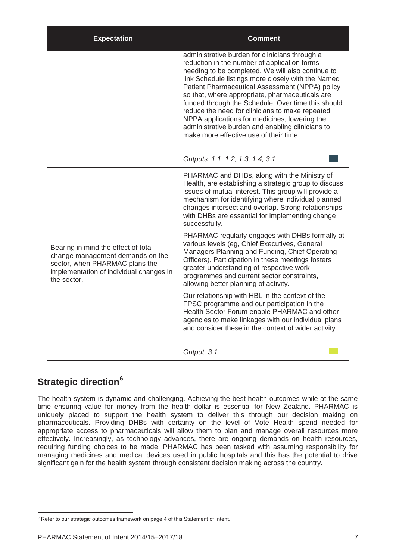| <b>Expectation</b>                                                                                                                                                  | Comment                                                                                                                                                                                                                                                                                                                                                                                                                                                                                                                                                                 |
|---------------------------------------------------------------------------------------------------------------------------------------------------------------------|-------------------------------------------------------------------------------------------------------------------------------------------------------------------------------------------------------------------------------------------------------------------------------------------------------------------------------------------------------------------------------------------------------------------------------------------------------------------------------------------------------------------------------------------------------------------------|
|                                                                                                                                                                     | administrative burden for clinicians through a<br>reduction in the number of application forms<br>needing to be completed. We will also continue to<br>link Schedule listings more closely with the Named<br>Patient Pharmaceutical Assessment (NPPA) policy<br>so that, where appropriate, pharmaceuticals are<br>funded through the Schedule. Over time this should<br>reduce the need for clinicians to make repeated<br>NPPA applications for medicines, lowering the<br>administrative burden and enabling clinicians to<br>make more effective use of their time. |
|                                                                                                                                                                     | Outputs: 1.1, 1.2, 1.3, 1.4, 3.1                                                                                                                                                                                                                                                                                                                                                                                                                                                                                                                                        |
|                                                                                                                                                                     | PHARMAC and DHBs, along with the Ministry of<br>Health, are establishing a strategic group to discuss<br>issues of mutual interest. This group will provide a<br>mechanism for identifying where individual planned<br>changes intersect and overlap. Strong relationships<br>with DHBs are essential for implementing change<br>successfully.                                                                                                                                                                                                                          |
| Bearing in mind the effect of total<br>change management demands on the<br>sector, when PHARMAC plans the<br>implementation of individual changes in<br>the sector. | PHARMAC regularly engages with DHBs formally at<br>various levels (eg, Chief Executives, General<br>Managers Planning and Funding, Chief Operating<br>Officers). Participation in these meetings fosters<br>greater understanding of respective work<br>programmes and current sector constraints,<br>allowing better planning of activity.                                                                                                                                                                                                                             |
|                                                                                                                                                                     | Our relationship with HBL in the context of the<br>FPSC programme and our participation in the<br>Health Sector Forum enable PHARMAC and other<br>agencies to make linkages with our individual plans<br>and consider these in the context of wider activity.                                                                                                                                                                                                                                                                                                           |
|                                                                                                                                                                     | Output: 3.1                                                                                                                                                                                                                                                                                                                                                                                                                                                                                                                                                             |

# <span id="page-9-0"></span>**Strategic direction[6](#page-6-1)**

The health system is dynamic and challenging. Achieving the best health outcomes while at the same time ensuring value for money from the health dollar is essential for New Zealand. PHARMAC is uniquely placed to support the health system to deliver this through our decision making on pharmaceuticals. Providing DHBs with certainty on the level of Vote Health spend needed for appropriate access to pharmaceuticals will allow them to plan and manage overall resources more effectively. Increasingly, as technology advances, there are ongoing demands on health resources, requiring funding choices to be made. PHARMAC has been tasked with assuming responsibility for managing medicines and medical devices used in public hospitals and this has the potential to drive significant gain for the health system through consistent decision making across the country.

<span id="page-9-1"></span> $\overline{a}$ <sup>6</sup> Refer to our strategic outcomes framework on page 4 of this Statement of Intent.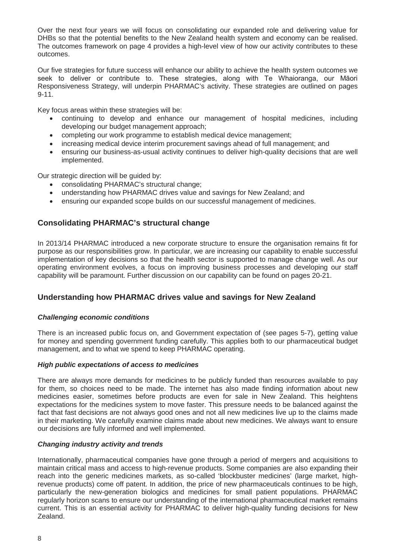Over the next four years we will focus on consolidating our expanded role and delivering value for DHBs so that the potential benefits to the New Zealand health system and economy can be realised. The outcomes framework on page 4 provides a high-level view of how our activity contributes to these outcomes.

Our five strategies for future success will enhance our ability to achieve the health system outcomes we seek to deliver or contribute to. These strategies, along with Te Whaioranga, our Māori Responsiveness Strategy, will underpin PHARMAC's activity. These strategies are outlined on pages 9-11.

Key focus areas within these strategies will be:

- continuing to develop and enhance our management of hospital medicines, including developing our budget management approach;
- completing our work programme to establish medical device management;
- increasing medical device interim procurement savings ahead of full management; and
- ensuring our business-as-usual activity continues to deliver high-quality decisions that are well implemented.

Our strategic direction will be guided by:

- consolidating PHARMAC's structural change;
- understanding how PHARMAC drives value and savings for New Zealand; and
- ensuring our expanded scope builds on our successful management of medicines.

### <span id="page-10-0"></span>**Consolidating PHARMAC's structural change**

In 2013/14 PHARMAC introduced a new corporate structure to ensure the organisation remains fit for purpose as our responsibilities grow. In particular, we are increasing our capability to enable successful implementation of key decisions so that the health sector is supported to manage change well. As our operating environment evolves, a focus on improving business processes and developing our staff capability will be paramount. Further discussion on our capability can be found on pages 20-21.

#### <span id="page-10-1"></span>**Understanding how PHARMAC drives value and savings for New Zealand**

#### *Challenging economic conditions*

There is an increased public focus on, and Government expectation of (see pages 5-7), getting value for money and spending government funding carefully. This applies both to our pharmaceutical budget management, and to what we spend to keep PHARMAC operating.

#### *High public expectations of access to medicines*

There are always more demands for medicines to be publicly funded than resources available to pay for them, so choices need to be made. The internet has also made finding information about new medicines easier, sometimes before products are even for sale in New Zealand. This heightens expectations for the medicines system to move faster. This pressure needs to be balanced against the fact that fast decisions are not always good ones and not all new medicines live up to the claims made in their marketing. We carefully examine claims made about new medicines. We always want to ensure our decisions are fully informed and well implemented.

#### *Changing industry activity and trends*

Internationally, pharmaceutical companies have gone through a period of mergers and acquisitions to maintain critical mass and access to high-revenue products. Some companies are also expanding their reach into the generic medicines markets, as so-called 'blockbuster medicines' (large market, highrevenue products) come off patent. In addition, the price of new pharmaceuticals continues to be high, particularly the new-generation biologics and medicines for small patient populations. PHARMAC regularly horizon scans to ensure our understanding of the international pharmaceutical market remains current. This is an essential activity for PHARMAC to deliver high-quality funding decisions for New Zealand.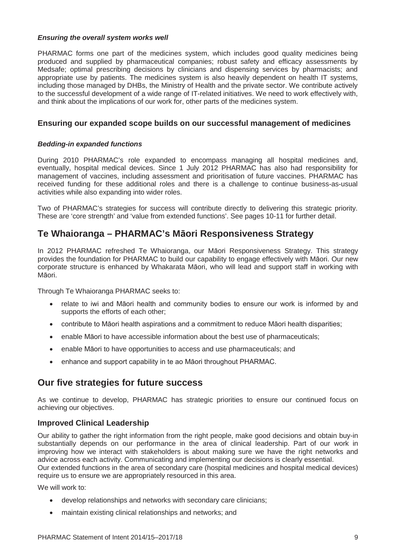#### *Ensuring the overall system works well*

PHARMAC forms one part of the medicines system, which includes good quality medicines being produced and supplied by pharmaceutical companies; robust safety and efficacy assessments by Medsafe; optimal prescribing decisions by clinicians and dispensing services by pharmacists; and appropriate use by patients. The medicines system is also heavily dependent on health IT systems, including those managed by DHBs, the Ministry of Health and the private sector. We contribute actively to the successful development of a wide range of IT-related initiatives. We need to work effectively with, and think about the implications of our work for, other parts of the medicines system.

### <span id="page-11-0"></span>**Ensuring our expanded scope builds on our successful management of medicines**

#### *Bedding-in expanded functions*

During 2010 PHARMAC's role expanded to encompass managing all hospital medicines and, eventually, hospital medical devices. Since 1 July 2012 PHARMAC has also had responsibility for management of vaccines, including assessment and prioritisation of future vaccines. PHARMAC has received funding for these additional roles and there is a challenge to continue business-as-usual activities while also expanding into wider roles.

Two of PHARMAC's strategies for success will contribute directly to delivering this strategic priority. These are 'core strength' and 'value from extended functions'. See pages 10-11 for further detail.

## <span id="page-11-1"></span>**Te Whaioranga – PHARMAC's Māori Responsiveness Strategy**

In 2012 PHARMAC refreshed Te Whaioranga, our Māori Responsiveness Strategy. This strategy provides the foundation for PHARMAC to build our capability to engage effectively with Māori. Our new corporate structure is enhanced by Whakarata Māori, who will lead and support staff in working with Māori.

Through Te Whaioranga PHARMAC seeks to:

- relate to iwi and Māori health and community bodies to ensure our work is informed by and supports the efforts of each other;
- contribute to Māori health aspirations and a commitment to reduce Māori health disparities;
- enable Māori to have accessible information about the best use of pharmaceuticals;
- enable Māori to have opportunities to access and use pharmaceuticals; and
- enhance and support capability in te ao Māori throughout PHARMAC.

## <span id="page-11-2"></span>**Our five strategies for future success**

As we continue to develop, PHARMAC has strategic priorities to ensure our continued focus on achieving our objectives.

#### <span id="page-11-3"></span>**Improved Clinical Leadership**

Our ability to gather the right information from the right people, make good decisions and obtain buy-in substantially depends on our performance in the area of clinical leadership. Part of our work in improving how we interact with stakeholders is about making sure we have the right networks and advice across each activity. Communicating and implementing our decisions is clearly essential.

Our extended functions in the area of secondary care (hospital medicines and hospital medical devices) require us to ensure we are appropriately resourced in this area.

We will work to:

- develop relationships and networks with secondary care clinicians;
- maintain existing clinical relationships and networks; and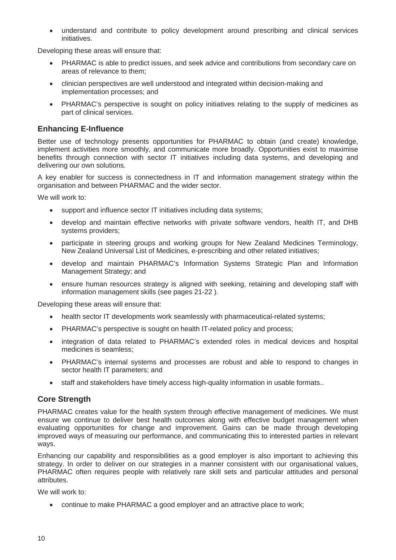• understand and contribute to policy development around prescribing and clinical services initiatives.

Developing these areas will ensure that:

- PHARMAC is able to predict issues, and seek advice and contributions from secondary care on areas of relevance to them;
- clinician perspectives are well understood and integrated within decision-making and implementation processes; and
- PHARMAC's perspective is sought on policy initiatives relating to the supply of medicines as part of clinical services.

### <span id="page-12-0"></span>**Enhancing E-Influence**

Better use of technology presents opportunities for PHARMAC to obtain (and create) knowledge, implement activities more smoothly, and communicate more broadly. Opportunities exist to maximise benefits through connection with sector IT initiatives including data systems, and developing and delivering our own solutions.

A key enabler for success is connectedness in IT and information management strategy within the organisation and between PHARMAC and the wider sector.

We will work to:

- support and influence sector IT initiatives including data systems;
- develop and maintain effective networks with private software vendors, health IT, and DHB systems providers;
- participate in steering groups and working groups for New Zealand Medicines Terminology, New Zealand Universal List of Medicines, e-prescribing and other related initiatives;
- develop and maintain PHARMAC's Information Systems Strategic Plan and Information Management Strategy; and
- ensure human resources strategy is aligned with seeking, retaining and developing staff with information management skills (see pages 21-22 ).

Developing these areas will ensure that:

- health sector IT developments work seamlessly with pharmaceutical-related systems;
- PHARMAC's perspective is sought on health IT-related policy and process;
- integration of data related to PHARMAC's extended roles in medical devices and hospital medicines is seamless;
- PHARMAC's internal systems and processes are robust and able to respond to changes in sector health IT parameters; and
- staff and stakeholders have timely access high-quality information in usable formats..

### <span id="page-12-1"></span>**Core Strength**

PHARMAC creates value for the health system through effective management of medicines. We must ensure we continue to deliver best health outcomes along with effective budget management when evaluating opportunities for change and improvement. Gains can be made through developing improved ways of measuring our performance, and communicating this to interested parties in relevant ways.

Enhancing our capability and responsibilities as a good employer is also important to achieving this strategy. In order to deliver on our strategies in a manner consistent with our organisational values, PHARMAC often requires people with relatively rare skill sets and particular attitudes and personal attributes.

We will work to:

• continue to make PHARMAC a good employer and an attractive place to work;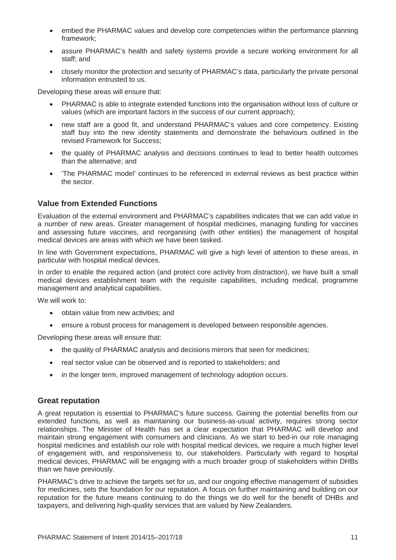- embed the PHARMAC values and develop core competencies within the performance planning framework;
- assure PHARMAC's health and safety systems provide a secure working environment for all staff; and
- closely monitor the protection and security of PHARMAC's data, particularly the private personal information entrusted to us.

Developing these areas will ensure that:

- PHARMAC is able to integrate extended functions into the organisation without loss of culture or values (which are important factors in the success of our current approach);
- new staff are a good fit, and understand PHARMAC's values and core competency. Existing staff buy into the new identity statements and demonstrate the behaviours outlined in the revised Framework for Success;
- the quality of PHARMAC analysis and decisions continues to lead to better health outcomes than the alternative; and
- 'The PHARMAC model' continues to be referenced in external reviews as best practice within the sector.

### <span id="page-13-0"></span>**Value from Extended Functions**

Evaluation of the external environment and PHARMAC's capabilities indicates that we can add value in a number of new areas. Greater management of hospital medicines, managing funding for vaccines and assessing future vaccines, and reorganising (with other entities) the management of hospital medical devices are areas with which we have been tasked.

In line with Government expectations, PHARMAC will give a high level of attention to these areas, in particular with hospital medical devices.

In order to enable the required action (and protect core activity from distraction), we have built a small medical devices establishment team with the requisite capabilities, including medical, programme management and analytical capabilities.

We will work to:

- obtain value from new activities; and
- ensure a robust process for management is developed between responsible agencies.

Developing these areas will ensure that:

- the quality of PHARMAC analysis and decisions mirrors that seen for medicines;
- real sector value can be observed and is reported to stakeholders; and
- in the longer term, improved management of technology adoption occurs.

#### <span id="page-13-1"></span>**Great reputation**

A great reputation is essential to PHARMAC's future success. Gaining the potential benefits from our extended functions, as well as maintaining our business-as-usual activity, requires strong sector relationships. The Minister of Health has set a clear expectation that PHARMAC will develop and maintain strong engagement with consumers and clinicians. As we start to bed-in our role managing hospital medicines and establish our role with hospital medical devices, we require a much higher level of engagement with, and responsiveness to, our stakeholders. Particularly with regard to hospital medical devices, PHARMAC will be engaging with a much broader group of stakeholders within DHBs than we have previously.

PHARMAC's drive to achieve the targets set for us, and our ongoing effective management of subsidies for medicines, sets the foundation for our reputation. A focus on further maintaining and building on our reputation for the future means continuing to do the things we do well for the benefit of DHBs and taxpayers, and delivering high-quality services that are valued by New Zealanders.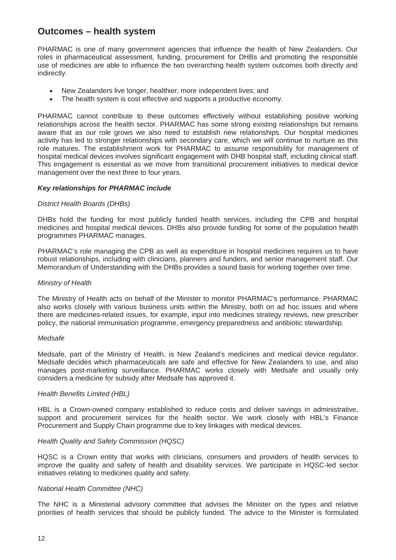# <span id="page-14-0"></span>**Outcomes – health system**

PHARMAC is one of many government agencies that influence the health of New Zealanders. Our roles in pharmaceutical assessment, funding, procurement for DHBs and promoting the responsible use of medicines are able to influence the two overarching health system outcomes both directly and indirectly.

- New Zealanders live longer, healthier, more independent lives; and
- The health system is cost effective and supports a productive economy*.*

PHARMAC cannot contribute to these outcomes effectively without establishing positive working relationships across the health sector. PHARMAC has some strong existing relationships but remains aware that as our role grows we also need to establish new relationships. Our hospital medicines activity has led to stronger relationships with secondary care, which we will continue to nurture as this role matures. The establishment work for PHARMAC to assume responsibility for management of hospital medical devices involves significant engagement with DHB hospital staff, including clinical staff. This engagement is essential as we move from transitional procurement initiatives to medical device management over the next three to four years.

#### *Key relationships for PHARMAC include*

#### *District Health Boards (DHBs)*

DHBs hold the funding for most publicly funded health services, including the CPB and hospital medicines and hospital medical devices. DHBs also provide funding for some of the population health programmes PHARMAC manages.

PHARMAC's role managing the CPB as well as expenditure in hospital medicines requires us to have robust relationships, including with clinicians, planners and funders, and senior management staff. Our Memorandum of Understanding with the DHBs provides a sound basis for working together over time.

#### *Ministry of Health*

The Ministry of Health acts on behalf of the Minister to monitor PHARMAC's performance. PHARMAC also works closely with various business units within the Ministry, both on ad hoc issues and where there are medicines-related issues, for example, input into medicines strategy reviews, new prescriber policy, the national immunisation programme, emergency preparedness and antibiotic stewardship.

#### *Medsafe*

Medsafe, part of the Ministry of Health, is New Zealand's medicines and medical device regulator. Medsafe decides which pharmaceuticals are safe and effective for New Zealanders to use, and also manages post-marketing surveillance. PHARMAC works closely with Medsafe and usually only considers a medicine for subsidy after Medsafe has approved it.

#### *Health Benefits Limited (HBL)*

HBL is a Crown-owned company established to reduce costs and deliver savings in administrative, support and procurement services for the health sector. We work closely with HBL's Finance Procurement and Supply Chain programme due to key linkages with medical devices.

#### *Health Quality and Safety Commission (HQSC)*

HQSC is a Crown entity that works with clinicians, consumers and providers of health services to improve the quality and safety of health and disability services. We participate in HQSC-led sector initiatives relating to medicines quality and safety.

#### *National Health Committee (NHC)*

The NHC is a Ministerial advisory committee that advises the Minister on the types and relative priorities of health services that should be publicly funded. The advice to the Minister is formulated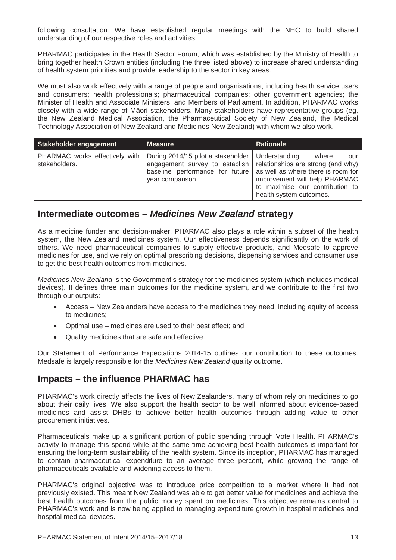following consultation. We have established regular meetings with the NHC to build shared understanding of our respective roles and activities.

PHARMAC participates in the Health Sector Forum, which was established by the Ministry of Health to bring together health Crown entities (including the three listed above) to increase shared understanding of health system priorities and provide leadership to the sector in key areas.

We must also work effectively with a range of people and organisations, including health service users and consumers; health professionals; pharmaceutical companies; other government agencies; the Minister of Health and Associate Ministers; and Members of Parliament. In addition, PHARMAC works closely with a wide range of Māori stakeholders. Many stakeholders have representative groups (eg, the New Zealand Medical Association, the Pharmaceutical Society of New Zealand, the Medical Technology Association of New Zealand and Medicines New Zealand) with whom we also work.

| Stakeholder engagement                                 | <b>Measure</b>                                                                                                              | <b>Rationale</b>                                                                                                                                                                                         |
|--------------------------------------------------------|-----------------------------------------------------------------------------------------------------------------------------|----------------------------------------------------------------------------------------------------------------------------------------------------------------------------------------------------------|
| <b>PHARMAC</b> works effectively with<br>stakeholders. | During 2014/15 pilot a stakeholder<br>engagement survey to establish<br>baseline performance for future<br>year comparison. | Understanding<br>where<br>our<br>relationships are strong (and why)<br>as well as where there is room for<br>improvement will help PHARMAC<br>to maximise our contribution to<br>health system outcomes. |

## <span id="page-15-0"></span>**Intermediate outcomes –** *Medicines New Zealand* **strategy**

As a medicine funder and decision-maker, PHARMAC also plays a role within a subset of the health system, the New Zealand medicines system. Our effectiveness depends significantly on the work of others. We need pharmaceutical companies to supply effective products, and Medsafe to approve medicines for use, and we rely on optimal prescribing decisions, dispensing services and consumer use to get the best health outcomes from medicines.

*Medicines New Zealand* is the Government's strategy for the medicines system (which includes medical devices). It defines three main outcomes for the medicine system, and we contribute to the first two through our outputs:

- Access New Zealanders have access to the medicines they need, including equity of access to medicines;
- Optimal use medicines are used to their best effect; and
- Quality medicines that are safe and effective.

Our Statement of Performance Expectations 2014-15 outlines our contribution to these outcomes. Medsafe is largely responsible for the *Medicines New Zealand* quality outcome.

## <span id="page-15-1"></span>**Impacts – the influence PHARMAC has**

PHARMAC's work directly affects the lives of New Zealanders, many of whom rely on medicines to go about their daily lives. We also support the health sector to be well informed about evidence-based medicines and assist DHBs to achieve better health outcomes through adding value to other procurement initiatives.

Pharmaceuticals make up a significant portion of public spending through Vote Health. PHARMAC's activity to manage this spend while at the same time achieving best health outcomes is important for ensuring the long-term sustainability of the health system. Since its inception, PHARMAC has managed to contain pharmaceutical expenditure to an average three percent, while growing the range of pharmaceuticals available and widening access to them.

PHARMAC's original objective was to introduce price competition to a market where it had not previously existed. This meant New Zealand was able to get better value for medicines and achieve the best health outcomes from the public money spent on medicines. This objective remains central to PHARMAC's work and is now being applied to managing expenditure growth in hospital medicines and hospital medical devices.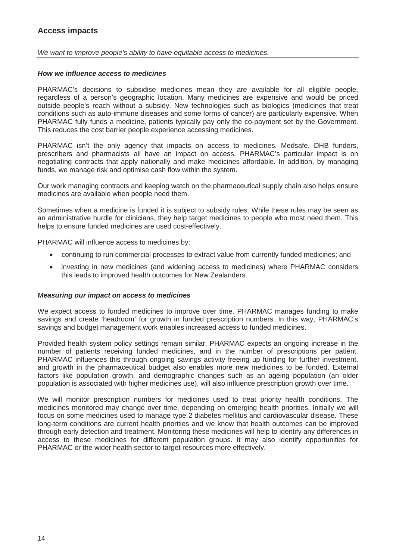<span id="page-16-0"></span>*We want to improve people's ability to have equitable access to medicines.* 

#### *How we influence access to medicines*

PHARMAC's decisions to subsidise medicines mean they are available for all eligible people, regardless of a person's geographic location. Many medicines are expensive and would be priced outside people's reach without a subsidy. New technologies such as biologics (medicines that treat conditions such as auto-immune diseases and some forms of cancer) are particularly expensive. When PHARMAC fully funds a medicine, patients typically pay only the co-payment set by the Government. This reduces the cost barrier people experience accessing medicines.

PHARMAC isn't the only agency that impacts on access to medicines. Medsafe, DHB funders, prescribers and pharmacists all have an impact on access. PHARMAC's particular impact is on negotiating contracts that apply nationally and make medicines affordable. In addition, by managing funds, we manage risk and optimise cash flow within the system.

Our work managing contracts and keeping watch on the pharmaceutical supply chain also helps ensure medicines are available when people need them.

Sometimes when a medicine is funded it is subject to subsidy rules. While these rules may be seen as an administrative hurdle for clinicians, they help target medicines to people who most need them. This helps to ensure funded medicines are used cost-effectively.

PHARMAC will influence access to medicines by:

- continuing to run commercial processes to extract value from currently funded medicines; and
- investing in new medicines (and widening access to medicines) where PHARMAC considers this leads to improved health outcomes for New Zealanders.

#### *Measuring our impact on access to medicines*

We expect access to funded medicines to improve over time. PHARMAC manages funding to make savings and create 'headroom' for growth in funded prescription numbers. In this way, PHARMAC's savings and budget management work enables increased access to funded medicines.

Provided health system policy settings remain similar, PHARMAC expects an ongoing increase in the number of patients receiving funded medicines, and in the number of prescriptions per patient. PHARMAC influences this through ongoing savings activity freeing up funding for further investment, and growth in the pharmaceutical budget also enables more new medicines to be funded. External factors like population growth, and demographic changes such as an ageing population (an older population is associated with higher medicines use), will also influence prescription growth over time.

We will monitor prescription numbers for medicines used to treat priority health conditions. The medicines monitored may change over time, depending on emerging health priorities. Initially we will focus on some medicines used to manage type 2 diabetes mellitus and cardiovascular disease. These long-term conditions are current health priorities and we know that health outcomes can be improved through early detection and treatment. Monitoring these medicines will help to identify any differences in access to these medicines for different population groups. It may also identify opportunities for PHARMAC or the wider health sector to target resources more effectively.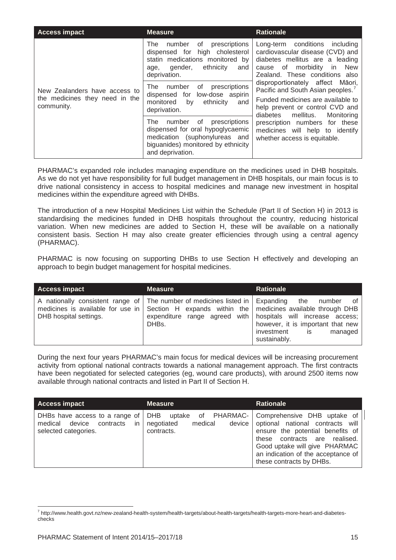| <b>Access impact</b>                                                          | <b>Measure</b>                                                                                                                                                      | <b>Rationale</b>                                                                                                                                                                                    |
|-------------------------------------------------------------------------------|---------------------------------------------------------------------------------------------------------------------------------------------------------------------|-----------------------------------------------------------------------------------------------------------------------------------------------------------------------------------------------------|
|                                                                               | οf<br>prescriptions<br>The<br>number<br>high cholesterol<br>dispensed for<br>statin medications monitored by<br>ethnicity<br>qender,<br>and<br>age,<br>deprivation. | Long-term conditions<br>including<br>cardiovascular disease (CVD) and<br>diabetes mellitus are a leading<br>cause of morbidity<br><b>New</b><br>in.<br>Zealand. These conditions also               |
| New Zealanders have access to<br>the medicines they need in the<br>community. | prescriptions<br>number<br>of<br>The<br>dispensed for low-dose aspirin<br>and<br>monitored<br>ethnicity<br>by<br>deprivation.                                       | disproportionately affect<br>Māori,<br>Pacific and South Asian peoples. <sup>7</sup><br>Funded medicines are available to<br>help prevent or control CVD and<br>mellitus.<br>Monitoring<br>diabetes |
|                                                                               | number of<br>The<br>prescriptions<br>dispensed for oral hypoglycaemic<br>medication (suphonylureas and<br>biguanides) monitored by ethnicity<br>and deprivation.    | prescription numbers for these<br>medicines will help to identify<br>whether access is equitable.                                                                                                   |

PHARMAC's expanded role includes managing expenditure on the medicines used in DHB hospitals. As we do not yet have responsibility for full budget management in DHB hospitals, our main focus is to drive national consistency in access to hospital medicines and manage new investment in hospital medicines within the expenditure agreed with DHBs.

The introduction of a new Hospital Medicines List within the Schedule (Part II of Section H) in 2013 is standardising the medicines funded in DHB hospitals throughout the country, reducing historical variation. When new medicines are added to Section H, these will be available on a nationally consistent basis. Section H may also create greater efficiencies through using a central agency (PHARMAC).

PHARMAC is now focusing on supporting DHBs to use Section H effectively and developing an approach to begin budget management for hospital medicines.

| <b>Access impact</b>   | <b>Measure</b>                                                                                                                                                                          | <b>Rationale</b>                                                                                                                                                                  |
|------------------------|-----------------------------------------------------------------------------------------------------------------------------------------------------------------------------------------|-----------------------------------------------------------------------------------------------------------------------------------------------------------------------------------|
| DHB hospital settings. | A nationally consistent range of The number of medicines listed in Expanding<br>medicines is available for use in Section H expands within the medicines available through DHB<br>DHBs. | the<br>0f<br>number<br>expenditure range agreed with   hospitals will increase access;<br>however, it is important that new<br>investment<br>managed<br><b>IS</b><br>sustainably. |

During the next four years PHARMAC's main focus for medical devices will be increasing procurement activity from optional national contracts towards a national management approach. The first contracts have been negotiated for selected categories (eg, wound care products), with around 2500 items now available through national contracts and listed in Part II of Section H.

| <b>Access impact</b>                                                                            | <b>Measure</b>                                                             | <b>Rationale</b>                                                                                                                                                                                                                               |
|-------------------------------------------------------------------------------------------------|----------------------------------------------------------------------------|------------------------------------------------------------------------------------------------------------------------------------------------------------------------------------------------------------------------------------------------|
| DHBs have access to a range of<br>device<br>contracts<br>medical<br>in.<br>selected categories. | <b>DHB</b><br>of PHARMAC-<br>uptake<br>negotiated<br>medical<br>contracts. | Comprehensive DHB uptake of<br>device optional national contracts will<br>ensure the potential benefits of<br>these contracts are realised.<br>Good uptake will give PHARMAC<br>an indication of the acceptance of<br>these contracts by DHBs. |

<span id="page-17-0"></span> $\frac{1}{1}$ <sup>7</sup> http://www.health.govt.nz/new-zealand-health-system/health-targets/about-health-targets/health-targets-more-heart-and-diabeteschecks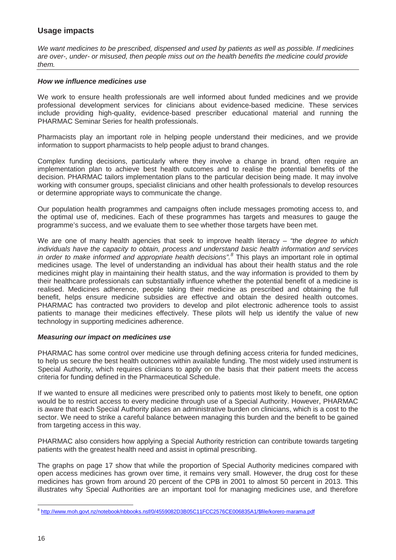## <span id="page-18-0"></span>**Usage impacts**

*We want medicines to be prescribed, dispensed and used by patients as well as possible. If medicines are over-, under- or misused, then people miss out on the health benefits the medicine could provide them.* 

#### *How we influence medicines use*

We work to ensure health professionals are well informed about funded medicines and we provide professional development services for clinicians about evidence-based medicine. These services include providing high-quality, evidence-based prescriber educational material and running the PHARMAC Seminar Series for health professionals.

Pharmacists play an important role in helping people understand their medicines, and we provide information to support pharmacists to help people adjust to brand changes.

Complex funding decisions, particularly where they involve a change in brand, often require an implementation plan to achieve best health outcomes and to realise the potential benefits of the decision. PHARMAC tailors implementation plans to the particular decision being made. It may involve working with consumer groups, specialist clinicians and other health professionals to develop resources or determine appropriate ways to communicate the change.

Our population health programmes and campaigns often include messages promoting access to, and the optimal use of, medicines. Each of these programmes has targets and measures to gauge the programme's success, and we evaluate them to see whether those targets have been met.

We are one of many health agencies that seek to improve health literacy – *"the degree to which individuals have the capacity to obtain, process and understand basic health information and services in order to make informed and appropriate health decisions". [8](#page-17-0)* This plays an important role in optimal medicines usage*.* The level of understanding an individual has about their health status and the role medicines might play in maintaining their health status, and the way information is provided to them by their healthcare professionals can substantially influence whether the potential benefit of a medicine is realised. Medicines adherence, people taking their medicine as prescribed and obtaining the full benefit, helps ensure medicine subsidies are effective and obtain the desired health outcomes. PHARMAC has contracted two providers to develop and pilot electronic adherence tools to assist patients to manage their medicines effectively. These pilots will help us identify the value of new technology in supporting medicines adherence.

#### *Measuring our impact on medicines use*

PHARMAC has some control over medicine use through defining access criteria for funded medicines, to help us secure the best health outcomes within available funding. The most widely used instrument is Special Authority, which requires clinicians to apply on the basis that their patient meets the access criteria for funding defined in the Pharmaceutical Schedule.

If we wanted to ensure all medicines were prescribed only to patients most likely to benefit, one option would be to restrict access to every medicine through use of a Special Authority. However, PHARMAC is aware that each Special Authority places an administrative burden on clinicians, which is a cost to the sector. We need to strike a careful balance between managing this burden and the benefit to be gained from targeting access in this way.

PHARMAC also considers how applying a Special Authority restriction can contribute towards targeting patients with the greatest health need and assist in optimal prescribing.

The graphs on page 17 show that while the proportion of Special Authority medicines compared with open access medicines has grown over time, it remains very small. However, the drug cost for these medicines has grown from around 20 percent of the CPB in 2001 to almost 50 percent in 2013. This illustrates why Special Authorities are an important tool for managing medicines use, and therefore

 $\overline{a}$ <sup>8</sup> http://www.moh.govt.nz/notebook/nbbooks.nsf/0/4559082D3B05C11FCC2576CE006835A1/\$file/korero-marama.pdf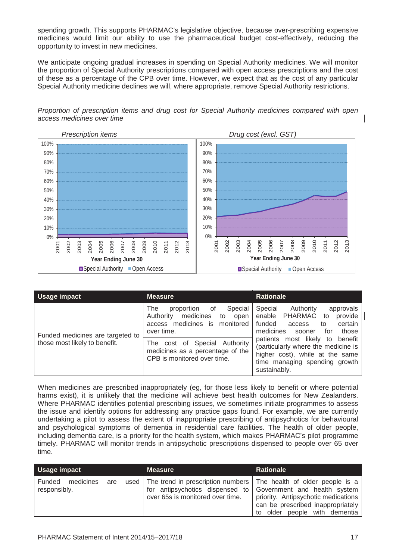spending growth. This supports PHARMAC's legislative objective, because over-prescribing expensive medicines would limit our ability to use the pharmaceutical budget cost-effectively, reducing the opportunity to invest in new medicines.

We anticipate ongoing gradual increases in spending on Special Authority medicines. We will monitor the proportion of Special Authority prescriptions compared with open access prescriptions and the cost of these as a percentage of the CPB over time. However, we expect that as the cost of any particular Special Authority medicine declines we will, where appropriate, remove Special Authority restrictions.

*Proportion of prescription items and drug cost for Special Authority medicines compared with open access medicines over time* 



| Usage impact                                                      | <b>Measure</b>                                                                                                                                                                                                                      | <b>Rationale</b>                                                                                                                                                                                                                                                                                                               |
|-------------------------------------------------------------------|-------------------------------------------------------------------------------------------------------------------------------------------------------------------------------------------------------------------------------------|--------------------------------------------------------------------------------------------------------------------------------------------------------------------------------------------------------------------------------------------------------------------------------------------------------------------------------|
| Funded medicines are targeted to<br>those most likely to benefit. | The<br>Special<br>proportion<br>0f<br>medicines<br>Authority<br>open<br>to<br>monitored<br>medicines is<br>access<br>over time.<br>The cost of Special Authority<br>medicines as a percentage of the<br>CPB is monitored over time. | Special<br>Authority<br>approvals<br><b>PHARMAC</b><br>provide<br>enable<br>to<br>funded<br>certain<br>access<br>to<br>medicines<br>those<br>sooner<br>tor<br>most likely to<br>benefit<br>patients<br>(particularly where the medicine is<br>higher cost), while at the same<br>time managing spending growth<br>sustainably. |

When medicines are prescribed inappropriately (eg, for those less likely to benefit or where potential harms exist), it is unlikely that the medicine will achieve best health outcomes for New Zealanders. Where PHARMAC identifies potential prescribing issues, we sometimes initiate programmes to assess the issue and identify options for addressing any practice gaps found. For example, we are currently undertaking a pilot to assess the extent of inappropriate prescribing of antipsychotics for behavioural and psychological symptoms of dementia in residential care facilities. The health of older people, including dementia care, is a priority for the health system, which makes PHARMAC's pilot programme timely. PHARMAC will monitor trends in antipsychotic prescriptions dispensed to people over 65 over time.

| Usage impact                               | <b>Measure</b>                                                                                                                                                                 | <b>Rationale</b>                                                                                          |
|--------------------------------------------|--------------------------------------------------------------------------------------------------------------------------------------------------------------------------------|-----------------------------------------------------------------------------------------------------------|
| Funded<br>medicines<br>are<br>responsibly. | used   The trend in prescription numbers   The health of older people is a<br>for antipsychotics dispensed to Government and health system<br>over 65s is monitored over time. | priority. Antipsychotic medications<br>can be prescribed inappropriately<br>to older people with dementia |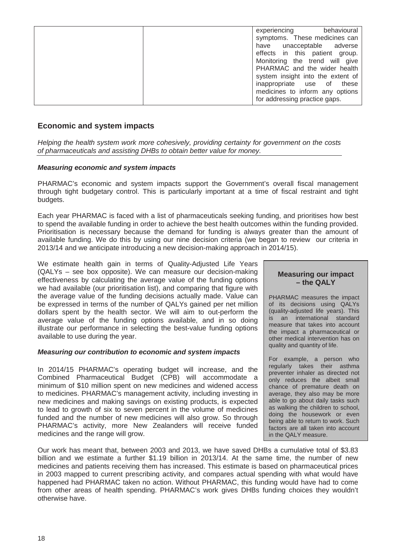| experiencing<br>behavioural<br>symptoms. These medicines can<br>have unacceptable adverse<br>effects in this patient group.<br>Monitoring the trend will give<br>PHARMAC and the wider health<br>system insight into the extent of |
|------------------------------------------------------------------------------------------------------------------------------------------------------------------------------------------------------------------------------------|
| inappropriate use of these<br>medicines to inform any options<br>for addressing practice gaps.                                                                                                                                     |

#### <span id="page-20-0"></span>**Economic and system impacts**

*Helping the health system work more cohesively, providing certainty for government on the costs of pharmaceuticals and assisting DHBs to obtain better value for money.* 

#### *Measuring economic and system impacts*

PHARMAC's economic and system impacts support the Government's overall fiscal management through tight budgetary control. This is particularly important at a time of fiscal restraint and tight budgets.

Each year PHARMAC is faced with a list of pharmaceuticals seeking funding, and prioritises how best to spend the available funding in order to achieve the best health outcomes within the funding provided. Prioritisation is necessary because the demand for funding is always greater than the amount of available funding. We do this by using our nine decision criteria (we began to review our criteria in 2013/14 and we anticipate introducing a new decision-making approach in 2014/15).

We estimate health gain in terms of Quality-Adjusted Life Years (QALYs – see box opposite). We can measure our decision-making effectiveness by calculating the average value of the funding options we had available (our prioritisation list), and comparing that figure with the average value of the funding decisions actually made. Value can be expressed in terms of the number of QALYs gained per net million dollars spent by the health sector. We will aim to out-perform the average value of the funding options available, and in so doing illustrate our performance in selecting the best-value funding options available to use during the year.

#### *Measuring our contribution to economic and system impacts*

In 2014/15 PHARMAC's operating budget will increase, and the Combined Pharmaceutical Budget (CPB) will accommodate a minimum of \$10 million spent on new medicines and widened access to medicines. PHARMAC's management activity, including investing in new medicines and making savings on existing products, is expected to lead to growth of six to seven percent in the volume of medicines funded and the number of new medicines will also grow. So through PHARMAC's activity, more New Zealanders will receive funded medicines and the range will grow.

#### **Measuring our impact – the QALY**

PHARMAC measures the impact of its decisions using QALYs (quality-adjusted life years). This is an international standard measure that takes into account the impact a pharmaceutical or other medical intervention has on quality and quantity of life.

For example, a person who regularly takes their asthma preventer inhaler as directed not only reduces the albeit small chance of premature death on average, they also may be more able to go about daily tasks such as walking the children to school, doing the housework or even being able to return to work. Such factors are all taken into account in the QALY measure.

Our work has meant that, between 2003 and 2013, we have saved DHBs a cumulative total of \$3.83 billion and we estimate a further \$1.19 billion in 2013/14. At the same time, the number of new medicines and patients receiving them has increased. This estimate is based on pharmaceutical prices in 2003 mapped to current prescribing activity, and compares actual spending with what would have happened had PHARMAC taken no action. Without PHARMAC, this funding would have had to come from other areas of health spending. PHARMAC's work gives DHBs funding choices they wouldn't otherwise have.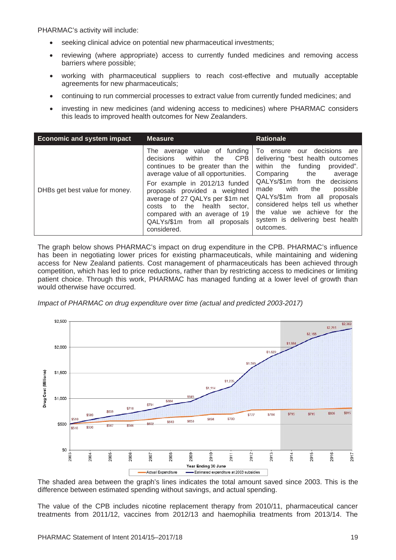PHARMAC's activity will include:

- seeking clinical advice on potential new pharmaceutical investments;
- reviewing (where appropriate) access to currently funded medicines and removing access barriers where possible;
- working with pharmaceutical suppliers to reach cost-effective and mutually acceptable agreements for new pharmaceuticals;
- continuing to run commercial processes to extract value from currently funded medicines; and
- investing in new medicines (and widening access to medicines) where PHARMAC considers this leads to improved health outcomes for New Zealanders.

| <b>Economic and system impact</b> | <b>Measure</b>                                                                                                                                                                                                                                                                                                                                                                      | <b>Rationale</b>                                                                                                                                                                                                                                                                                                                                                      |
|-----------------------------------|-------------------------------------------------------------------------------------------------------------------------------------------------------------------------------------------------------------------------------------------------------------------------------------------------------------------------------------------------------------------------------------|-----------------------------------------------------------------------------------------------------------------------------------------------------------------------------------------------------------------------------------------------------------------------------------------------------------------------------------------------------------------------|
| DHBs get best value for money.    | The average value of funding<br>decisions<br>within<br><b>CPB</b><br>the<br>continues to be greater than the<br>average value of all opportunities.<br>For example in 2012/13 funded<br>proposals provided a weighted<br>average of 27 QALYs per \$1m net<br>the<br>health<br>sector.<br>costs to<br>compared with an average of 19<br>QALYs/\$1m from all proposals<br>considered. | To ensure<br>our decisions are<br>delivering "best health outcomes<br>funding<br>the<br>within<br>provided".<br>Comparing<br>the<br>average<br>QALYs/\$1m from the decisions<br>with<br>possible<br>the<br>made<br>QALYs/\$1m from all proposals<br>considered helps tell us whether<br>the value we achieve for the<br>system is delivering best health<br>outcomes. |

The graph below shows PHARMAC's impact on drug expenditure in the CPB. PHARMAC's influence has been in negotiating lower prices for existing pharmaceuticals, while maintaining and widening access for New Zealand patients. Cost management of pharmaceuticals has been achieved through competition, which has led to price reductions, rather than by restricting access to medicines or limiting patient choice. Through this work, PHARMAC has managed funding at a lower level of growth than would otherwise have occurred.

*Impact of PHARMAC on drug expenditure over time (actual and predicted 2003-2017)*



The shaded area between the graph's lines indicates the total amount saved since 2003. This is the difference between estimated spending without savings, and actual spending.

The value of the CPB includes nicotine replacement therapy from 2010/11, pharmaceutical cancer treatments from 2011/12, vaccines from 2012/13 and haemophilia treatments from 2013/14. The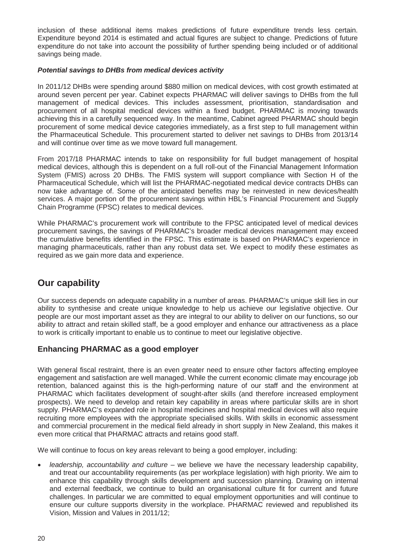inclusion of these additional items makes predictions of future expenditure trends less certain. Expenditure beyond 2014 is estimated and actual figures are subject to change. Predictions of future expenditure do not take into account the possibility of further spending being included or of additional savings being made.

#### *Potential savings to DHBs from medical devices activity*

In 2011/12 DHBs were spending around \$880 million on medical devices, with cost growth estimated at around seven percent per year. Cabinet expects PHARMAC will deliver savings to DHBs from the full management of medical devices. This includes assessment, prioritisation, standardisation and procurement of all hospital medical devices within a fixed budget. PHARMAC is moving towards achieving this in a carefully sequenced way. In the meantime, Cabinet agreed PHARMAC should begin procurement of some medical device categories immediately, as a first step to full management within the Pharmaceutical Schedule. This procurement started to deliver net savings to DHBs from 2013/14 and will continue over time as we move toward full management.

From 2017/18 PHARMAC intends to take on responsibility for full budget management of hospital medical devices, although this is dependent on a full roll-out of the Financial Management Information System (FMIS) across 20 DHBs. The FMIS system will support compliance with Section H of the Pharmaceutical Schedule, which will list the PHARMAC-negotiated medical device contracts DHBs can now take advantage of. Some of the anticipated benefits may be reinvested in new devices/health services. A major portion of the procurement savings within HBL's Financial Procurement and Supply Chain Programme (FPSC) relates to medical devices.

While PHARMAC's procurement work will contribute to the FPSC anticipated level of medical devices procurement savings, the savings of PHARMAC's broader medical devices management may exceed the cumulative benefits identified in the FPSC. This estimate is based on PHARMAC's experience in managing pharmaceuticals, rather than any robust data set. We expect to modify these estimates as required as we gain more data and experience.

# <span id="page-22-0"></span>**Our capability**

Our success depends on adequate capability in a number of areas. PHARMAC's unique skill lies in our ability to synthesise and create unique knowledge to help us achieve our legislative objective. Our people are our most important asset as they are integral to our ability to deliver on our functions, so our ability to attract and retain skilled staff, be a good employer and enhance our attractiveness as a place to work is critically important to enable us to continue to meet our legislative objective.

### <span id="page-22-1"></span>**Enhancing PHARMAC as a good employer**

With general fiscal restraint, there is an even greater need to ensure other factors affecting employee engagement and satisfaction are well managed. While the current economic climate may encourage job retention, balanced against this is the high-performing nature of our staff and the environment at PHARMAC which facilitates development of sought-after skills (and therefore increased employment prospects). We need to develop and retain key capability in areas where particular skills are in short supply. PHARMAC's expanded role in hospital medicines and hospital medical devices will also require recruiting more employees with the appropriate specialised skills. With skills in economic assessment and commercial procurement in the medical field already in short supply in New Zealand, this makes it even more critical that PHARMAC attracts and retains good staff.

We will continue to focus on key areas relevant to being a good employer, including:

• *leadership, accountability and culture* – we believe we have the necessary leadership capability, and treat our accountability requirements (as per workplace legislation) with high priority. We aim to enhance this capability through skills development and succession planning. Drawing on internal and external feedback, we continue to build an organisational culture fit for current and future challenges. In particular we are committed to equal employment opportunities and will continue to ensure our culture supports diversity in the workplace. PHARMAC reviewed and republished its Vision, Mission and Values in 2011/12;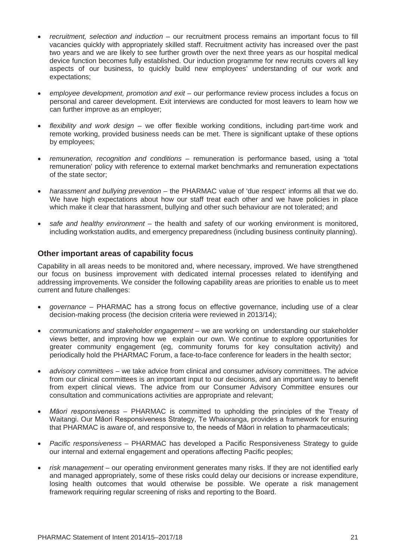- *recruitment, selection and induction* our recruitment process remains an important focus to fill vacancies quickly with appropriately skilled staff. Recruitment activity has increased over the past two years and we are likely to see further growth over the next three years as our hospital medical device function becomes fully established. Our induction programme for new recruits covers all key aspects of our business, to quickly build new employees' understanding of our work and expectations;
- *employee development, promotion and exit* our performance review process includes a focus on personal and career development. Exit interviews are conducted for most leavers to learn how we can further improve as an employer;
- *flexibility and work design* we offer flexible working conditions, including part-time work and remote working, provided business needs can be met. There is significant uptake of these options by employees;
- *remuneration, recognition and conditions* remuneration is performance based, using a 'total remuneration' policy with reference to external market benchmarks and remuneration expectations of the state sector;
- *harassment and bullying prevention* the PHARMAC value of 'due respect' informs all that we do. We have high expectations about how our staff treat each other and we have policies in place which make it clear that harassment, bullying and other such behaviour are not tolerated; and
- *safe and healthy environment* the health and safety of our working environment is monitored, including workstation audits, and emergency preparedness (including business continuity planning).

### <span id="page-23-0"></span>**Other important areas of capability focus**

Capability in all areas needs to be monitored and, where necessary, improved. We have strengthened our focus on business improvement with dedicated internal processes related to identifying and addressing improvements. We consider the following capability areas are priorities to enable us to meet current and future challenges:

- *governance* PHARMAC has a strong focus on effective governance, including use of a clear decision-making process (the decision criteria were reviewed in 2013/14);
- *communications and stakeholder engagement* we are working on understanding our stakeholder views better, and improving how we explain our own. We continue to explore opportunities for greater community engagement (eg, community forums for key consultation activity) and periodically hold the PHARMAC Forum, a face-to-face conference for leaders in the health sector;
- *advisory committees* we take advice from clinical and consumer advisory committees. The advice from our clinical committees is an important input to our decisions, and an important way to benefit from expert clinical views. The advice from our Consumer Advisory Committee ensures our consultation and communications activities are appropriate and relevant;
- *Māori responsiveness*  PHARMAC is committed to upholding the principles of the Treaty of Waitangi. Our Māori Responsiveness Strategy, Te Whaioranga, provides a framework for ensuring that PHARMAC is aware of, and responsive to, the needs of Māori in relation to pharmaceuticals;
- *Pacific responsiveness*  PHARMAC has developed a Pacific Responsiveness Strategy to guide our internal and external engagement and operations affecting Pacific peoples;
- *risk management* our operating environment generates many risks. If they are not identified early and managed appropriately, some of these risks could delay our decisions or increase expenditure, losing health outcomes that would otherwise be possible. We operate a risk management framework requiring regular screening of risks and reporting to the Board.